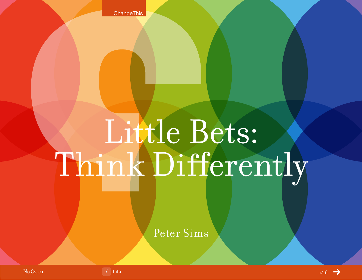**ChangeThis** 

# Little Bets: Think Differently

Peter Sims

No 82.01



 $ln$ fo  $1/16$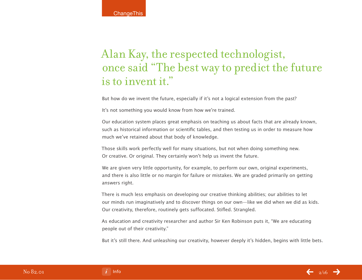# Alan Kay, the respected technologist, once said "The best way to predict the future is to invent it."

But how do we invent the future, especially if it's not a logical extension from the past?

It's not something you would know from how we're trained.

Our education system places great emphasis on teaching us about facts that are already known, such as historical information or scientific tables, and then testing us in order to measure how much we've retained about that body of knowledge.

Those skills work perfectly well for many situations, but not when doing something new. Or creative. Or original. They certainly won't help us invent the future.

We are given very little opportunity, for example, to perform our own, original experiments, and there is also little or no margin for failure or mistakes. We are graded primarily on getting answers right.

There is much less emphasis on developing our creative thinking abilities; our abilities to let our minds run imaginatively and to discover things on our own—like we did when we did as kids. Our creativity, therefore, routinely gets suffocated. Stifled. Strangled.

As education and creativity researcher and author Sir Ken Robinson puts it, "We are educating people out of their creativity."

But it's still there. And unleashing our creativity, however deeply it's hidden, begins with little bets.

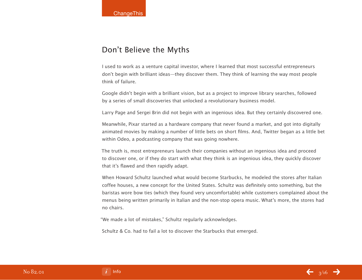## Don't Believe the Myths

I used to work as a venture capital investor, where I learned that most successful entrepreneurs don't begin with brilliant ideas—they discover them. They think of learning the way most people think of failure.

Google didn't begin with a brilliant vision, but as a project to improve library searches, followed by a series of small discoveries that unlocked a revolutionary business model.

Larry Page and Sergei Brin did not begin with an ingenious idea. But they certainly discovered one.

Meanwhile, Pixar started as a hardware company that never found a market, and got into digitally animated movies by making a number of little bets on short films. And, Twitter began as a little bet within Odeo, a podcasting company that was going nowhere.

The truth is, most entrepreneurs launch their companies without an ingenious idea and proceed to discover one, or if they do start with what they think is an ingenious idea, they quickly discover that it's flawed and then rapidly adapt.

When Howard Schultz launched what would become Starbucks, he modeled the stores after Italian coffee houses, a new concept for the United States. Schultz was definitely onto something, but the baristas wore bow ties (which they found very uncomfortable) while customers complained about the menus being written primarily in Italian and the non-stop opera music. What's more, the stores had no chairs.

"We made a lot of mistakes," Schultz regularly acknowledges.

Schultz & Co. had to fail a lot to discover the Starbucks that emerged.

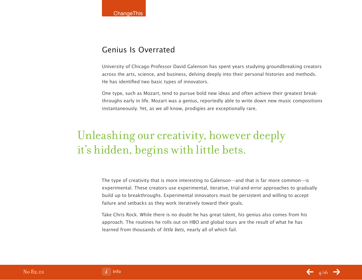### Genius Is Overrated

University of Chicago Professor David Galenson has spent years studying groundbreaking creators across the arts, science, and business, delving deeply into their personal histories and methods. He has identified two basic types of innovators.

One type, such as Mozart, tend to pursue bold new ideas and often achieve their greatest breakthroughs early in life. Mozart was a genius, reportedly able to write down new music compositions instantaneously. Yet, as we all know, prodigies are exceptionally rare.

# Unleashing our creativity, however deeply it's hidden, begins with little bets.

The type of creativity that is more interesting to Galenson—and that is far more common—is experimental. These creators use experimental, iterative, trial-and-error approaches to gradually build up to breakthroughs. Experimental innovators must be persistent and willing to accept failure and setbacks as they work iteratively toward their goals.

Take Chris Rock. While there is no doubt he has great talent, his genius also comes from his approach. The routines he rolls out on HBO and global tours are the result of what he has learned from thousands of little bets, nearly all of which fail.

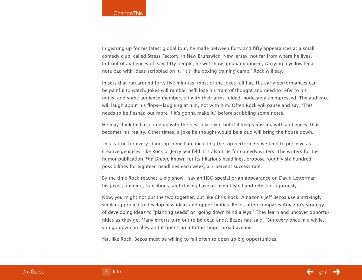In gearing up for his latest global tour, he made between forty and fifty appearances at a small comedy club, called Stress Factory, in New Brunswick, New Jersey, not far from where he lives. In front of audiences of, say, fifty people, he will show up unannounced, carrying a yellow legal note pad with ideas scribbled on it. "It's like boxing training camp," Rock will say.

In sets that run around forty-five minutes, most of the jokes fall flat. His early performances can be painful to watch. Jokes will ramble, he'll lose his train of thought and need to refer to his notes, and some audience members sit with their arms folded, noticeably unimpressed. The audience will laugh about his flops—laughing at him, not with him. Often Rock will pause and say, "This needs to be fleshed out more if it's gonna make it," before scribbling some notes.

He may think he has come up with the best joke ever, but if it keeps missing with audiences, that becomes his reality. Other times, a joke he thought would be a dud will bring the house down.

This is true for every stand-up comedian, including the top performers we tend to perceive as creative geniuses, like Rock or Jerry Seinfeld. It's also true for comedy writers. The writers for the humor publication The Onion, known for its hilarious headlines, propose roughly six hundred possibilities for eighteen headlines each week, a 3 percent success rate.

By the time Rock reaches a big show—say an HBO special or an appearance on David Letterman his jokes, opening, transitions, and closing have all been tested and retested rigorously.

Now, you might not put the two together, but like Chris Rock, Amazon's Jeff Bezos use a strikingly similar approach to develop new ideas and opportunities. Bezos often compares Amazon's strategy of developing ideas to "planting seeds" or "going down blind alleys." They learn and uncover opportunities as they go. Many efforts turn out to be dead ends, Bezos has said, "But every once in a while, you go down an alley and it opens up into this huge, broad avenue."

Yet, like Rock, Bezos must be willing to fail often to open up big opportunities.

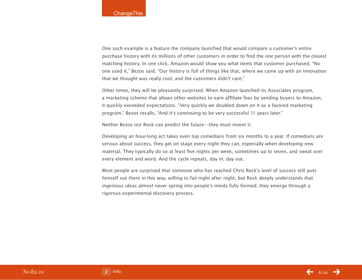One such example is a feature the company launched that would compare a customer's entire purchase history with its millions of other customers in order to find the one person with the closest matching history. In one click, Amazon would show you what items that customer purchased. "No one used it," Bezos said, "Our history is full of things like that, where we came up with an innovation that we thought was really cool, and the customers didn't care."

Other times, they will be pleasantly surprised. When Amazon launched its Associates program, a marketing scheme that allows other websites to earn affiliate fees by sending buyers to Amazon, it quickly exceeded expectations. "Very quickly we doubled down on it as a favored marketing program," Bezos recalls, "And it's continuing to be very successful 11 years later."

Neither Bezos nor Rock can predict the future—they must invent it.

Developing an hour-long act takes even top comedians from six months to a year. If comedians are serious about success, they get on stage every night they can, especially when developing new material. They typically do so at least five nights per week, sometimes up to seven, and sweat over every element and word. And the cycle repeats, day in, day out.

Most people are surprised that someone who has reached Chris Rock's level of success still puts himself out there in this way, willing to fail night after night, but Rock deeply understands that ingenious ideas almost never spring into people's minds fully formed; they emerge through a rigorous experimental discovery process.

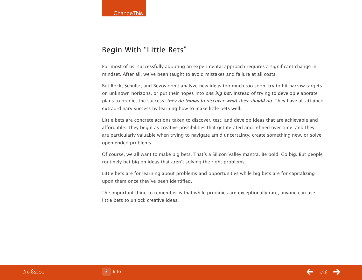## Begin With "Little Bets"

For most of us, successfully adopting an experimental approach requires a significant change in mindset. After all, we've been taught to avoid mistakes and failure at all costs.

But Rock, Schultz, and Bezos don't analyze new ideas too much too soon, try to hit narrow targets on unknown horizons, or put their hopes into *one big bet*. Instead of trying to develop elaborate plans to predict the success, they do things to discover what they should do. They have all attained extraordinary success by learning how to make little bets well.

Little bets are concrete actions taken to discover, test, and develop ideas that are achievable and affordable. They begin as creative possibilities that get iterated and refined over time, and they are particularly valuable when trying to navigate amid uncertainty, create something new, or solve open-ended problems.

Of course, we all want to make big bets. That's a Silicon Valley mantra. Be bold. Go big. But people routinely bet big on ideas that aren't solving the right problems.

Little bets are for learning about problems and opportunities while big bets are for capitalizing upon them once they've been identified.

The important thing to remember is that while prodigies are exceptionally rare, anyone can use little bets to unlock creative ideas.



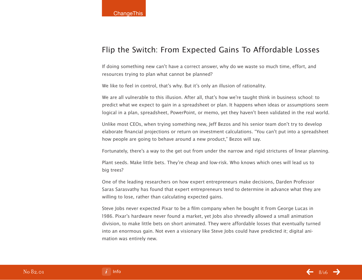## Flip the Switch: From Expected Gains To Affordable Losses

If doing something new can't have a correct answer, why do we waste so much time, effort, and resources trying to plan what cannot be planned?

We like to feel in control, that's why. But it's only an illusion of rationality.

We are all vulnerable to this illusion. After all, that's how we're taught think in business school: to predict what we expect to gain in a spreadsheet or plan. It happens when ideas or assumptions seem logical in a plan, spreadsheet, PowerPoint, or memo, yet they haven't been validated in the real world.

Unlike most CEOs, when trying something new, Jeff Bezos and his senior team don't try to develop elaborate financial projections or return on investment calculations. "You can't put into a spreadsheet how people are going to behave around a new product," Bezos will say.

Fortunately, there's a way to the get out from under the narrow and rigid strictures of linear planning.

Plant seeds. Make little bets. They're cheap and low-risk. Who knows which ones will lead us to big trees?

One of the leading researchers on how expert entrepreneurs make decisions, Darden Professor Saras Sarasvathy has found that expert entrepreneurs tend to determine in advance what they are willing to lose, rather than calculating expected gains.

Steve Jobs never expected Pixar to be a film company when he bought it from George Lucas in 1986. Pixar's hardware never found a market, yet Jobs also shrewdly allowed a small animation division, to make little bets on short animated. They were affordable losses that eventually turned into an enormous gain. Not even a visionary like Steve Jobs could have predicted it; digital animation was entirely new.

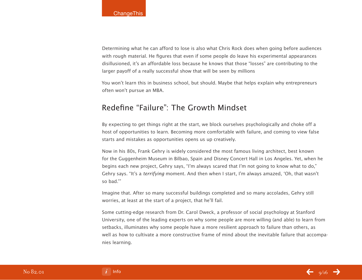Determining what he can afford to lose is also what Chris Rock does when going before audiences with rough material. He figures that even if some people do leave his experimental appearances disillusioned, it's an affordable loss because he knows that those "losses" are contributing to the larger payoff of a really successful show that will be seen by millions

You won't learn this in business school, but should. Maybe that helps explain why entrepreneurs often won't pursue an MBA.

## Redefine "Failure": The Growth Mindset

By expecting to get things right at the start, we block ourselves psychologically and choke off a host of opportunities to learn. Becoming more comfortable with failure, and coming to view false starts and mistakes as opportunities opens us up creatively.

Now in his 80s, Frank Gehry is widely considered the most famous living architect, best known for the Guggenheim Museum in Bilbao, Spain and Disney Concert Hall in Los Angeles. Yet, when he begins each new project, Gehry says, "I'm always scared that I'm not going to know what to do," Gehry says. "It's a terrifying moment. And then when I start, I'm always amazed, 'Oh, that wasn't so bad.'"

Imagine that. After so many successful buildings completed and so many accolades, Gehry still worries, at least at the start of a project, that he'll fail.

Some cutting-edge research from Dr. Carol Dweck, a professor of social psychology at Stanford University, one of the leading experts on why some people are more willing (and able) to learn from setbacks, illuminates why some people have a more resilient approach to failure than others, as well as how to cultivate a more constructive frame of mind about the inevitable failure that accompanies learning.

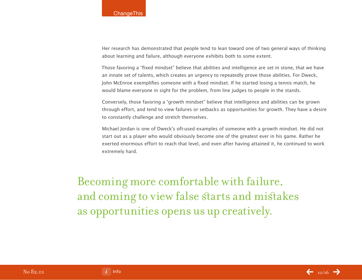Her research has demonstrated that people tend to lean toward one of two general ways of thinking about learning and failure, although everyone exhibits both to some extent.

Those favoring a "fixed mindset" believe that abilities and intelligence are set in stone, that we have an innate set of talents, which creates an urgency to repeatedly prove those abilities. For Dweck, John McEnroe exemplifies someone with a fixed mindset. If he started losing a tennis match, he would blame everyone in sight for the problem, from line judges to people in the stands.

Conversely, those favoring a "growth mindset" believe that intelligence and abilities can be grown through effort, and tend to view failures or setbacks as opportunities for growth. They have a desire to constantly challenge and stretch themselves.

Michael Jordan is one of Dweck's oft-used examples of someone with a growth mindset. He did not start out as a player who would obviously become one of the greatest ever in his game. Rather he exerted enormous effort to reach that level, and even after having attained it, he continued to work extremely hard.

Becoming more comfortable with failure, and coming to view false starts and mistakes as opportunities opens us up creatively.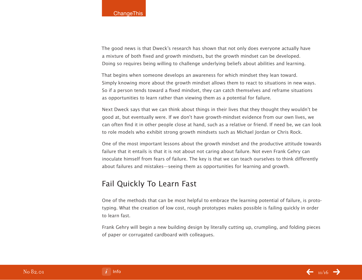The good news is that Dweck's research has shown that not only does everyone actually have a mixture of both fixed and growth mindsets, but the growth mindset can be developed. Doing so requires being willing to challenge underlying beliefs about abilities and learning.

That begins when someone develops an awareness for which mindset they lean toward. Simply knowing more about the growth mindset allows them to react to situations in new ways. So if a person tends toward a fixed mindset, they can catch themselves and reframe situations as opportunities to learn rather than viewing them as a potential for failure.

Next Dweck says that we can think about things in their lives that they thought they wouldn't be good at, but eventually were. If we don't have growth-mindset evidence from our own lives, we can often find it in other people close at hand, such as a relative or friend. If need be, we can look to role models who exhibit strong growth mindsets such as Michael Jordan or Chris Rock.

One of the most important lessons about the growth mindset and the productive attitude towards failure that it entails is that it is not about not caring about failure. Not even Frank Gehry can inoculate himself from fears of failure. The key is that we can teach ourselves to think differently about failures and mistakes—seeing them as opportunities for learning and growth.

### Fail Quickly To Learn Fast

One of the methods that can be most helpful to embrace the learning potential of failure, is prototyping. What the creation of low cost, rough prototypes makes possible is failing quickly in order to learn fast.

Frank Gehry will begin a new building design by literally cutting up, crumpling, and folding pieces of paper or corrugated cardboard with colleagues.

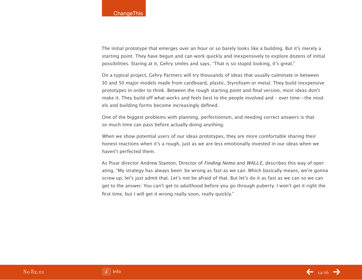The initial prototype that emerges over an hour or so barely looks like a building. But it's merely a starting point. They have begun and can work quickly and inexpensively to explore dozens of initial possibilities. Staring at it, Gehry smiles and says, "That is so stupid looking, it's great."

On a typical project, Gehry Partners will try thousands of ideas that usually culminate in between 30 and 50 major models made from cardboard, plastic, Styrofoam or metal. They build inexpensive prototypes in order to think. Between the rough starting point and final version, most ideas don't make it. They build off what works and feels best to the people involved and – over time—the models and building forms become increasingly defined.

One of the biggest problems with planning, perfectionism, and needing correct answers is that so much time can pass before actually doing anything.

When we show potential users of our ideas prototypes, they are more comfortable sharing their honest reactions when it's a rough, just as we are less emotionally invested in our ideas when we haven't perfected them.

As Pixar director Andrew Stanton, Director of Finding Nemo and WALL-E, describes this way of operating, "My strategy has always been: be wrong as fast as we can. Which basically means, we're gonna screw up, let's just admit that. Let's not be afraid of that. But let's do it as fast as we can so we can get to the answer. You can't get to adulthood before you go through puberty. I won't get it right the first time, but I will get it wrong really soon, really quickly."

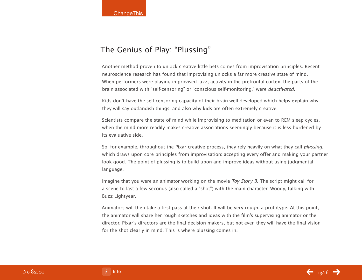## The Genius of Play: "Plussing"

Another method proven to unlock creative little bets comes from improvisation principles. Recent neuroscience research has found that improvising unlocks a far more creative state of mind. When performers were playing improvised jazz, activity in the prefrontal cortex, the parts of the brain associated with "self-censoring" or "conscious self-monitoring," were deactivated.

Kids don't have the self-censoring capacity of their brain well developed which helps explain why they will say outlandish things, and also why kids are often extremely creative.

Scientists compare the state of mind while improvising to meditation or even to REM sleep cycles, when the mind more readily makes creative associations seemingly because it is less burdened by its evaluative side.

So, for example, throughout the Pixar creative process, they rely heavily on what they call plussing, which draws upon core principles from improvisation: accepting every offer and making your partner look good. The point of plussing is to build upon and improve ideas without using judgmental language.

Imagine that you were an animator working on the movie Toy Story 3. The script might call for a scene to last a few seconds (also called a "shot") with the main character, Woody, talking with Buzz Lightyear.

Animators will then take a first pass at their shot. It will be very rough, a prototype. At this point, the animator will share her rough sketches and ideas with the film's supervising animator or the director. Pixar's directors are the final decision-makers, but not even they will have the final vision for the shot clearly in mind. This is where plussing comes in.

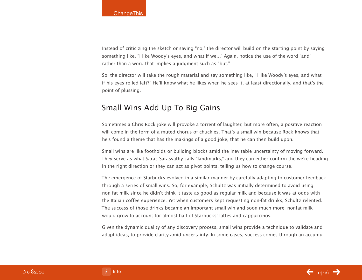Instead of criticizing the sketch or saying "no," the director will build on the starting point by saying something like, "I like Woody's eyes, and what if we…" Again, notice the use of the word "and" rather than a word that implies a judgment such as "but."

So, the director will take the rough material and say something like, "I like Woody's eyes, and what if his eyes rolled left?" He'll know what he likes when he sees it, at least directionally, and that's the point of plussing.

## Small Wins Add Up To Big Gains

Sometimes a Chris Rock joke will provoke a torrent of laughter, but more often, a positive reaction will come in the form of a muted chorus of chuckles. That's a small win because Rock knows that he's found a theme that has the makings of a good joke, that he can then build upon.

Small wins are like footholds or building blocks amid the inevitable uncertainty of moving forward. They serve as what Saras Sarasvathy calls "landmarks," and they can either confirm the we're heading in the right direction or they can act as pivot points, telling us how to change course.

The emergence of Starbucks evolved in a similar manner by carefully adapting to customer feedback through a series of small wins. So, for example, Schultz was initially determined to avoid using non-fat milk since he didn't think it taste as good as regular milk and because it was at odds with the Italian coffee experience. Yet when customers kept requesting non-fat drinks, Schultz relented. The success of those drinks became an important small win and soon much more: nonfat milk would grow to account for almost half of Starbucks' lattes and cappuccinos.

Given the dynamic quality of any discovery process, small wins provide a technique to validate and adapt ideas, to provide clarity amid uncertainty. In some cases, success comes through an accumu-



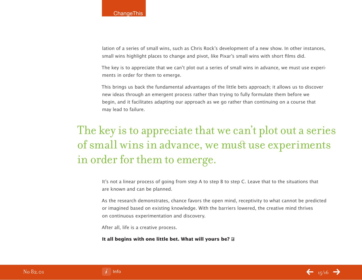lation of a series of small wins, such as Chris Rock's development of a new show. In other instances, small wins highlight places to change and pivot, like Pixar's small wins with short films did.

The key is to appreciate that we can't plot out a series of small wins in advance, we must use experiments in order for them to emerge.

This brings us back the fundamental advantages of the little bets approach; it allows us to discover new ideas through an emergent process rather than trying to fully formulate them before we begin, and it facilitates adapting our approach as we go rather than continuing on a course that may lead to failure.

# The key is to appreciate that we can't plot out a series of small wins in advance, we must use experiments in order for them to emerge.

It's not a linear process of going from step A to step B to step C. Leave that to the situations that are known and can be planned.

As the research demonstrates, chance favors the open mind, receptivity to what cannot be predicted or imagined based on existing knowledge. With the barriers lowered, the creative mind thrives on continuous experimentation and discovery.

After all, life is a creative process.

**It all begins with one little bet. What will yours be?**